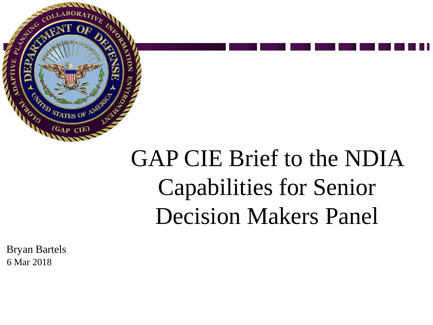

## GAP CIE Brief to the NDIA Capabilities for Senior Decision Makers Panel

Bryan Bartels 6 Mar 2018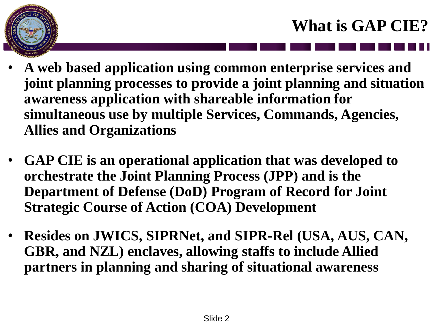

- **A web based application using common enterprise services and joint planning processes to provide a joint planning and situation awareness application with shareable information for simultaneous use by multiple Services, Commands, Agencies, Allies and Organizations**
- **GAP CIE is an operational application that was developed to orchestrate the Joint Planning Process (JPP) and is the Department of Defense (DoD) Program of Record for Joint Strategic Course of Action (COA) Development**
- **Resides on JWICS, SIPRNet, and SIPR-Rel (USA, AUS, CAN, GBR, and NZL) enclaves, allowing staffs to include Allied partners in planning and sharing of situational awareness**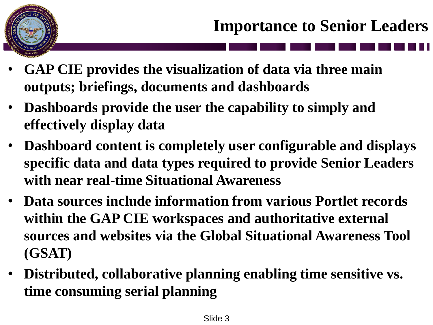

- **GAP CIE provides the visualization of data via three main outputs; briefings, documents and dashboards**
- **Dashboards provide the user the capability to simply and effectively display data**
- **Dashboard content is completely user configurable and displays specific data and data types required to provide Senior Leaders with near real-time Situational Awareness**
- **Data sources include information from various Portlet records within the GAP CIE workspaces and authoritative external sources and websites via the Global Situational Awareness Tool (GSAT)**
- **Distributed, collaborative planning enabling time sensitive vs. time consuming serial planning**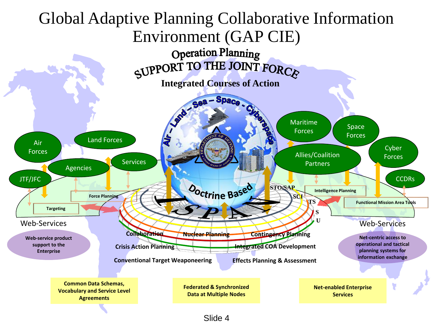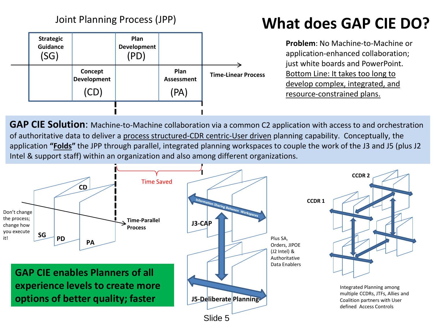

Joint Planning Process (JPP)

## *What does GAP CIE Do?* **What does GAP CIE DO?**

**Problem**: No Machine-to-Machine or application-enhanced collaboration; just white boards and PowerPoint. Bottom Line: It takes too long to develop complex, integrated, and resource-constrained plans.

**GAP CIE Solution**: Machine-to-Machine collaboration via a common C2 application with access to and orchestration of authoritative data to deliver a process structured-CDR centric-User driven planning capability. Conceptually, the application **"Folds"** the JPP through parallel, integrated planning workspaces to couple the work of the J3 and J5 (plus J2 Intel & support staff) within an organization and also among different organizations.